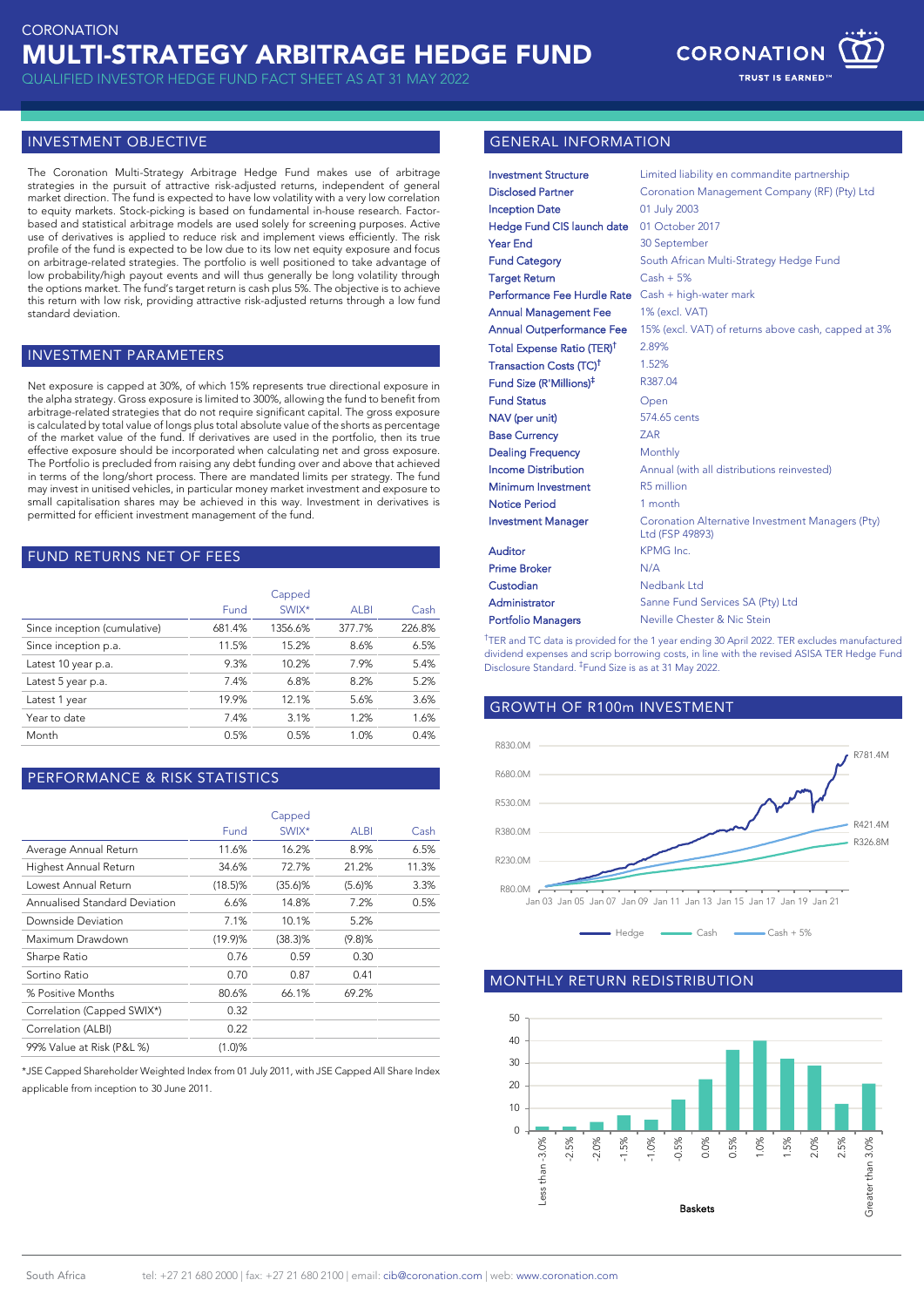

**TRUST IS EARNED** 

## INVESTMENT OBJECTIVE

The Coronation Multi-Strategy Arbitrage Hedge Fund makes use of arbitrage strategies in the pursuit of attractive risk-adjusted returns, independent of general market direction. The fund is expected to have low volatility with a very low correlation to equity markets. Stock-picking is based on fundamental in-house research. Factorbased and statistical arbitrage models are used solely for screening purposes. Active use of derivatives is applied to reduce risk and implement views efficiently. The risk profile of the fund is expected to be low due to its low net equity exposure and focus on arbitrage-related strategies. The portfolio is well positioned to take advantage of low probability/high payout events and will thus generally be long volatility through the options market. The fund's target return is cash plus 5%. The objective is to achieve this return with low risk, providing attractive risk-adjusted returns through a low fund standard deviation.

#### INVESTMENT PARAMETERS

Net exposure is capped at 30%, of which 15% represents true directional exposure in the alpha strategy. Gross exposure is limited to 300%, allowing the fund to benefit from arbitrage-related strategies that do not require significant capital. The gross exposure is calculated by total value of longs plus total absolute value of the shorts as percentage of the market value of the fund. If derivatives are used in the portfolio, then its true effective exposure should be incorporated when calculating net and gross exposure. The Portfolio is precluded from raising any debt funding over and above that achieved in terms of the long/short process. There are mandated limits per strategy. The fund may invest in unitised vehicles, in particular money market investment and exposure to small capitalisation shares may be achieved in this way. Investment in derivatives is permitted for efficient investment management of the fund.

#### FUND RETURNS NET OF FEES

|                              | Capped |         |             |        |
|------------------------------|--------|---------|-------------|--------|
|                              | Fund   | SWIX*   | <b>ALBI</b> | Cash   |
| Since inception (cumulative) | 681.4% | 1356.6% | 377.7%      | 226.8% |
| Since inception p.a.         | 11.5%  | 15.2%   | 8.6%        | 6.5%   |
| Latest 10 year p.a.          | 9.3%   | 10.2%   | 7.9%        | 5.4%   |
| Latest 5 year p.a.           | 7.4%   | 6.8%    | 8.2%        | 5.2%   |
| Latest 1 year                | 19.9%  | 12.1%   | 5.6%        | 3.6%   |
| Year to date                 | 7.4%   | 3.1%    | 1.2%        | 1.6%   |
| Month                        | 0.5%   | 0.5%    | 1.0%        | 0.4%   |

### PERFORMANCE & RISK STATISTICS

|                               | Capped     |            |             |       |
|-------------------------------|------------|------------|-------------|-------|
|                               | Fund       | SWIX*      | <b>ALBI</b> | Cash  |
| Average Annual Return         | 11.6%      | 16.2%      | 8.9%        | 6.5%  |
| Highest Annual Return         | 34.6%      | 72.7%      | 21.2%       | 11.3% |
| Lowest Annual Return          | $(18.5)\%$ | $(35.6)$ % | $(5.6)$ %   | 3.3%  |
| Annualised Standard Deviation | 6.6%       | 14.8%      | 7.2%        | 0.5%  |
| Downside Deviation            | 7.1%       | 10.1%      | 5.2%        |       |
| Maximum Drawdown              | (19.9)%    | $(38.3)\%$ | (9.8)%      |       |
| Sharpe Ratio                  | 0.76       | 0.59       | 0.30        |       |
| Sortino Ratio                 | 0.70       | 0.87       | 0.41        |       |
| % Positive Months             | 80.6%      | 66.1%      | 69.2%       |       |
| Correlation (Capped SWIX*)    | 0.32       |            |             |       |
| Correlation (ALBI)            | 0.22       |            |             |       |
| 99% Value at Risk (P&L %)     | (1.0)%     |            |             |       |

\*JSE Capped Shareholder Weighted Index from 01 July 2011, with JSE Capped All Share Index applicable from inception to 30 June 2011.

#### GENERAL INFORMATION

| <b>Investment Structure</b>            | Limited liability en commandite partnership                         |  |  |
|----------------------------------------|---------------------------------------------------------------------|--|--|
| <b>Disclosed Partner</b>               | Coronation Management Company (RF) (Pty) Ltd                        |  |  |
| <b>Inception Date</b>                  | 01 July 2003                                                        |  |  |
| Hedge Fund CIS launch date             | 01 October 2017                                                     |  |  |
| <b>Year End</b>                        | 30 September                                                        |  |  |
| <b>Fund Category</b>                   | South African Multi-Strategy Hedge Fund                             |  |  |
| <b>Target Return</b>                   | $Cash + 5%$                                                         |  |  |
| Performance Fee Hurdle Rate            | Cash + high-water mark                                              |  |  |
| <b>Annual Management Fee</b>           | 1% (excl. VAT)                                                      |  |  |
| <b>Annual Outperformance Fee</b>       | 15% (excl. VAT) of returns above cash, capped at 3%                 |  |  |
| Total Expense Ratio (TER) <sup>†</sup> | 2.89%                                                               |  |  |
| Transaction Costs (TC) <sup>†</sup>    | 1.52%                                                               |  |  |
| Fund Size (R'Millions) <sup>‡</sup>    | R387.04                                                             |  |  |
| <b>Fund Status</b>                     | Open                                                                |  |  |
| NAV (per unit)                         | 574.65 cents                                                        |  |  |
| <b>Base Currency</b>                   | <b>ZAR</b>                                                          |  |  |
| <b>Dealing Frequency</b>               | Monthly                                                             |  |  |
| <b>Income Distribution</b>             | Annual (with all distributions reinvested)                          |  |  |
| Minimum Investment                     | R5 million                                                          |  |  |
| <b>Notice Period</b>                   | 1 month                                                             |  |  |
| <b>Investment Manager</b>              | Coronation Alternative Investment Managers (Pty)<br>Ltd (FSP 49893) |  |  |
| Auditor                                | KPMG Inc.                                                           |  |  |
| <b>Prime Broker</b>                    | N/A                                                                 |  |  |
| Custodian                              | Nedbank Ltd                                                         |  |  |
| Administrator                          | Sanne Fund Services SA (Pty) Ltd                                    |  |  |
| <b>Portfolio Managers</b>              | Neville Chester & Nic Stein                                         |  |  |

<sup>†</sup>TER and TC data is provided for the 1 year ending 30 April 2022. TER excludes manufactured dividend expenses and scrip borrowing costs, in line with the revised ASISA TER Hedge Fund Disclosure Standard. ‡ Fund Size is as at 31 May 2022.

# GROWTH OF R100m INVESTMENT



### **MONTHLY RETURN REDISTRIBUTION**